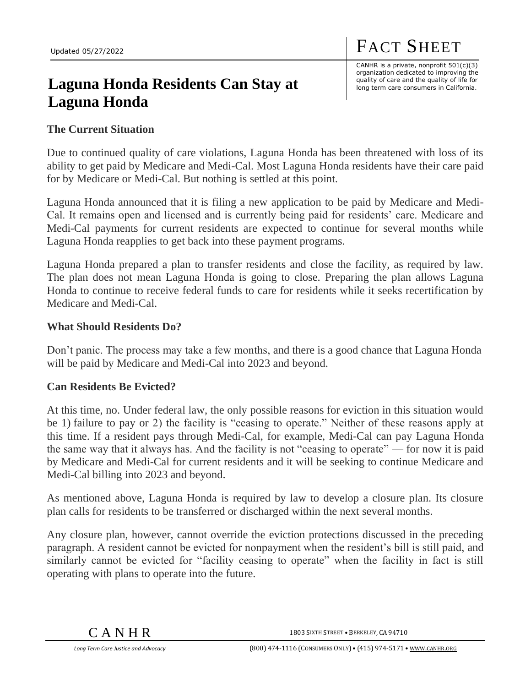# **Laguna Honda Residents Can Stay at Laguna Honda**

CANHR is a private, nonprofit 501(c)(3) organization dedicated to improving the quality of care and the quality of life for long term care consumers in California.

FACT SHEET

## **The Current Situation**

Due to continued quality of care violations, Laguna Honda has been threatened with loss of its ability to get paid by Medicare and Medi-Cal. Most Laguna Honda residents have their care paid for by Medicare or Medi-Cal. But nothing is settled at this point.

Laguna Honda announced that it is filing a new application to be paid by Medicare and Medi-Cal. It remains open and licensed and is currently being paid for residents' care. Medicare and Medi-Cal payments for current residents are expected to continue for several months while Laguna Honda reapplies to get back into these payment programs.

Laguna Honda prepared a plan to transfer residents and close the facility, as required by law. The plan does not mean Laguna Honda is going to close. Preparing the plan allows Laguna Honda to continue to receive federal funds to care for residents while it seeks recertification by Medicare and Medi-Cal.

#### **What Should Residents Do?**

Don't panic. The process may take a few months, and there is a good chance that Laguna Honda will be paid by Medicare and Medi-Cal into 2023 and beyond.

## **Can Residents Be Evicted?**

At this time, no. Under federal law, the only possible reasons for eviction in this situation would be 1) failure to pay or 2) the facility is "ceasing to operate." Neither of these reasons apply at this time. If a resident pays through Medi-Cal, for example, Medi-Cal can pay Laguna Honda the same way that it always has. And the facility is not "ceasing to operate" — for now it is paid by Medicare and Medi-Cal for current residents and it will be seeking to continue Medicare and Medi-Cal billing into 2023 and beyond.

As mentioned above, Laguna Honda is required by law to develop a closure plan. Its closure plan calls for residents to be transferred or discharged within the next several months.

Any closure plan, however, cannot override the eviction protections discussed in the preceding paragraph. A resident cannot be evicted for nonpayment when the resident's bill is still paid, and similarly cannot be evicted for "facility ceasing to operate" when the facility in fact is still operating with plans to operate into the future.

1803 SIXTH STREET • BERKELEY, CA 94710